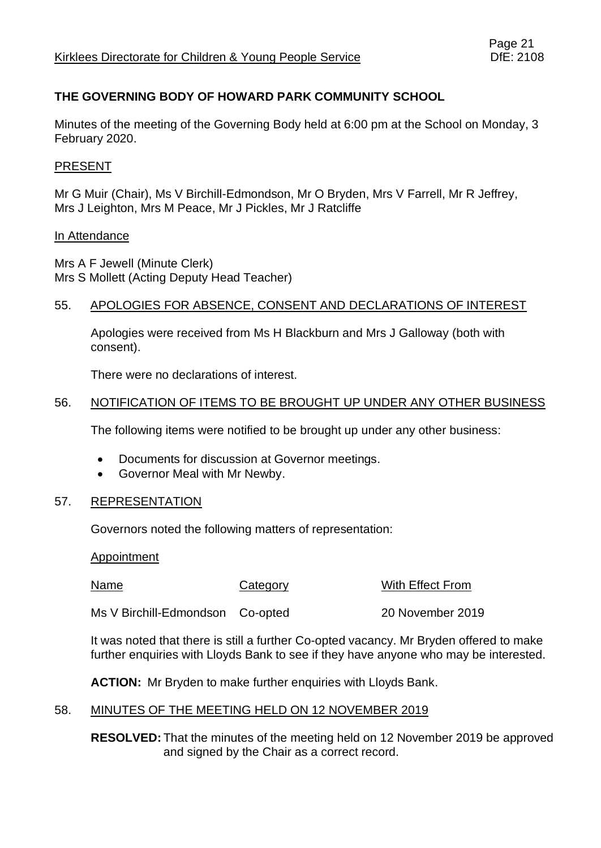# **THE GOVERNING BODY OF HOWARD PARK COMMUNITY SCHOOL**

Minutes of the meeting of the Governing Body held at 6:00 pm at the School on Monday, 3 February 2020.

## PRESENT

Mr G Muir (Chair), Ms V Birchill-Edmondson, Mr O Bryden, Mrs V Farrell, Mr R Jeffrey, Mrs J Leighton, Mrs M Peace, Mr J Pickles, Mr J Ratcliffe

#### In Attendance

Mrs A F Jewell (Minute Clerk) Mrs S Mollett (Acting Deputy Head Teacher)

### 55. APOLOGIES FOR ABSENCE, CONSENT AND DECLARATIONS OF INTEREST

Apologies were received from Ms H Blackburn and Mrs J Galloway (both with consent).

There were no declarations of interest.

## 56. NOTIFICATION OF ITEMS TO BE BROUGHT UP UNDER ANY OTHER BUSINESS

The following items were notified to be brought up under any other business:

- Documents for discussion at Governor meetings.
- Governor Meal with Mr Newby.

### 57. REPRESENTATION

Governors noted the following matters of representation:

Appointment

Name Category With Effect From

Ms V Birchill-Edmondson Co-opted 20 November 2019

It was noted that there is still a further Co-opted vacancy. Mr Bryden offered to make further enquiries with Lloyds Bank to see if they have anyone who may be interested.

**ACTION:** Mr Bryden to make further enquiries with Lloyds Bank.

# 58. MINUTES OF THE MEETING HELD ON 12 NOVEMBER 2019

**RESOLVED:** That the minutes of the meeting held on 12 November 2019 be approved and signed by the Chair as a correct record.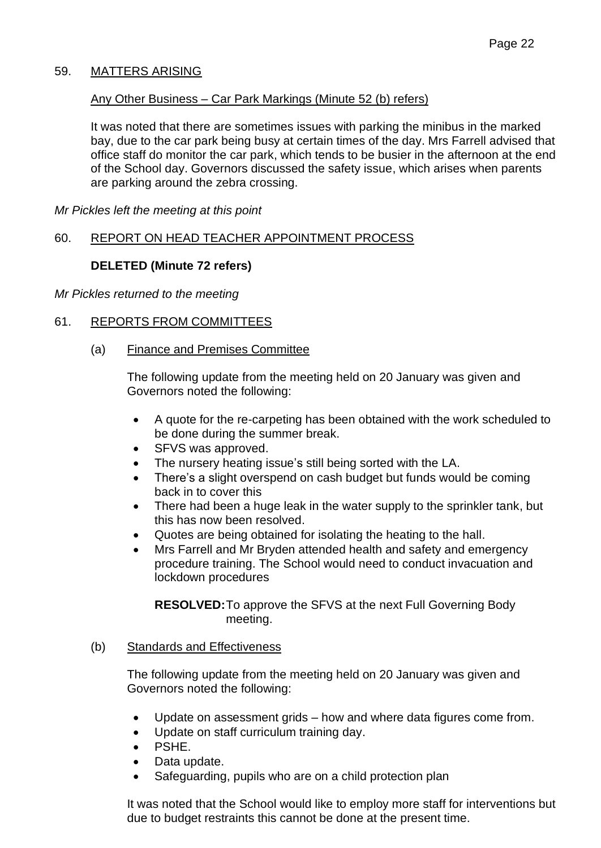## 59. MATTERS ARISING

### Any Other Business – Car Park Markings (Minute 52 (b) refers)

It was noted that there are sometimes issues with parking the minibus in the marked bay, due to the car park being busy at certain times of the day. Mrs Farrell advised that office staff do monitor the car park, which tends to be busier in the afternoon at the end of the School day. Governors discussed the safety issue, which arises when parents are parking around the zebra crossing.

*Mr Pickles left the meeting at this point*

### 60. REPORT ON HEAD TEACHER APPOINTMENT PROCESS

### **DELETED (Minute 72 refers)**

*Mr Pickles returned to the meeting*

## 61. REPORTS FROM COMMITTEES

(a) Finance and Premises Committee

The following update from the meeting held on 20 January was given and Governors noted the following:

- A quote for the re-carpeting has been obtained with the work scheduled to be done during the summer break.
- SFVS was approved.
- The nursery heating issue's still being sorted with the LA.
- There's a slight overspend on cash budget but funds would be coming back in to cover this
- There had been a huge leak in the water supply to the sprinkler tank, but this has now been resolved.
- Quotes are being obtained for isolating the heating to the hall.
- Mrs Farrell and Mr Bryden attended health and safety and emergency procedure training. The School would need to conduct invacuation and lockdown procedures

**RESOLVED:**To approve the SFVS at the next Full Governing Body meeting.

#### (b) Standards and Effectiveness

The following update from the meeting held on 20 January was given and Governors noted the following:

- Update on assessment grids how and where data figures come from.
- Update on staff curriculum training day.
- PSHE.
- Data update.
- Safeguarding, pupils who are on a child protection plan

It was noted that the School would like to employ more staff for interventions but due to budget restraints this cannot be done at the present time.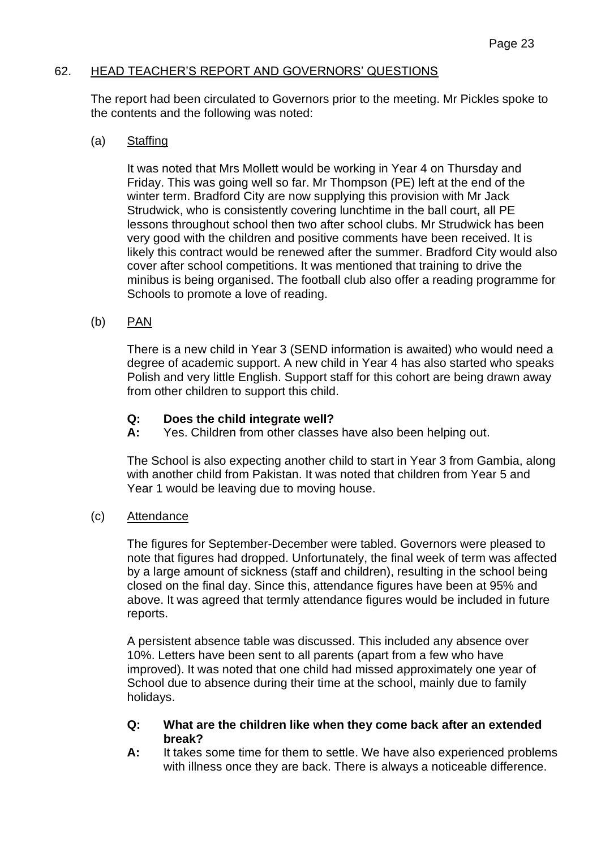### 62. HEAD TEACHER'S REPORT AND GOVERNORS' QUESTIONS

The report had been circulated to Governors prior to the meeting. Mr Pickles spoke to the contents and the following was noted:

#### (a) Staffing

It was noted that Mrs Mollett would be working in Year 4 on Thursday and Friday. This was going well so far. Mr Thompson (PE) left at the end of the winter term. Bradford City are now supplying this provision with Mr Jack Strudwick, who is consistently covering lunchtime in the ball court, all PE lessons throughout school then two after school clubs. Mr Strudwick has been very good with the children and positive comments have been received. It is likely this contract would be renewed after the summer. Bradford City would also cover after school competitions. It was mentioned that training to drive the minibus is being organised. The football club also offer a reading programme for Schools to promote a love of reading.

### (b) PAN

There is a new child in Year 3 (SEND information is awaited) who would need a degree of academic support. A new child in Year 4 has also started who speaks Polish and very little English. Support staff for this cohort are being drawn away from other children to support this child.

### **Q: Does the child integrate well?**

**A:** Yes. Children from other classes have also been helping out.

The School is also expecting another child to start in Year 3 from Gambia, along with another child from Pakistan. It was noted that children from Year 5 and Year 1 would be leaving due to moving house.

### (c) Attendance

The figures for September-December were tabled. Governors were pleased to note that figures had dropped. Unfortunately, the final week of term was affected by a large amount of sickness (staff and children), resulting in the school being closed on the final day. Since this, attendance figures have been at 95% and above. It was agreed that termly attendance figures would be included in future reports.

A persistent absence table was discussed. This included any absence over 10%. Letters have been sent to all parents (apart from a few who have improved). It was noted that one child had missed approximately one year of School due to absence during their time at the school, mainly due to family holidays.

#### **Q: What are the children like when they come back after an extended break?**

**A:** It takes some time for them to settle. We have also experienced problems with illness once they are back. There is always a noticeable difference.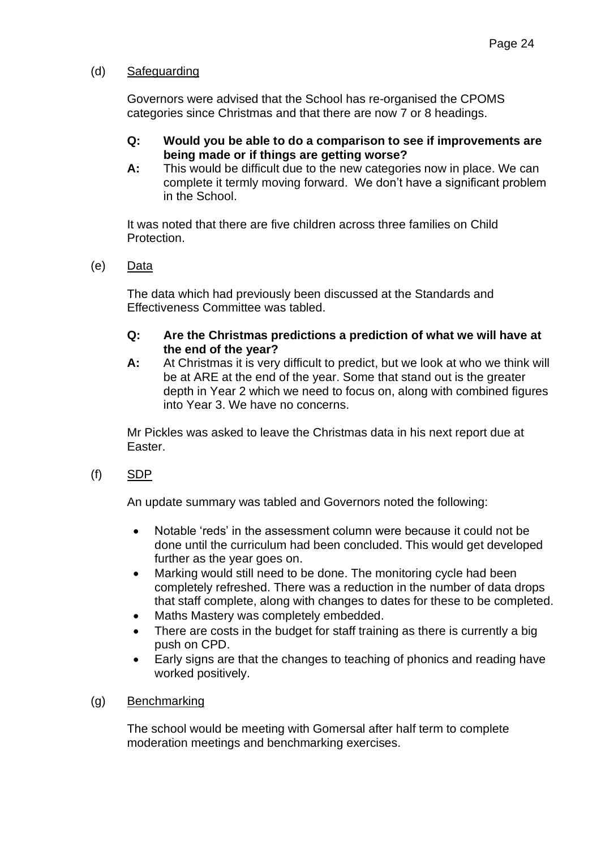### (d) Safeguarding

Governors were advised that the School has re-organised the CPOMS categories since Christmas and that there are now 7 or 8 headings.

- **Q: Would you be able to do a comparison to see if improvements are being made or if things are getting worse?**
- **A:** This would be difficult due to the new categories now in place. We can complete it termly moving forward. We don't have a significant problem in the School.

It was noted that there are five children across three families on Child Protection.

(e) Data

The data which had previously been discussed at the Standards and Effectiveness Committee was tabled.

#### **Q: Are the Christmas predictions a prediction of what we will have at the end of the year?**

**A:** At Christmas it is very difficult to predict, but we look at who we think will be at ARE at the end of the year. Some that stand out is the greater depth in Year 2 which we need to focus on, along with combined figures into Year 3. We have no concerns.

Mr Pickles was asked to leave the Christmas data in his next report due at Easter.

(f) SDP

An update summary was tabled and Governors noted the following:

- Notable 'reds' in the assessment column were because it could not be done until the curriculum had been concluded. This would get developed further as the year goes on.
- Marking would still need to be done. The monitoring cycle had been completely refreshed. There was a reduction in the number of data drops that staff complete, along with changes to dates for these to be completed.
- Maths Mastery was completely embedded.
- There are costs in the budget for staff training as there is currently a big push on CPD.
- Early signs are that the changes to teaching of phonics and reading have worked positively.
- (g) Benchmarking

The school would be meeting with Gomersal after half term to complete moderation meetings and benchmarking exercises.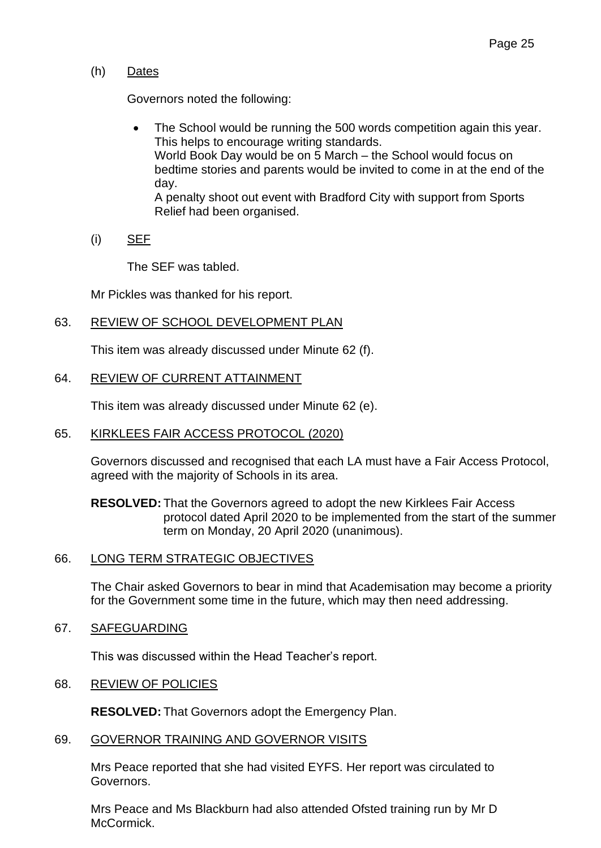## (h) Dates

Governors noted the following:

- The School would be running the 500 words competition again this year. This helps to encourage writing standards. World Book Day would be on 5 March – the School would focus on bedtime stories and parents would be invited to come in at the end of the day. A penalty shoot out event with Bradford City with support from Sports Relief had been organised.
- (i) SEF

The SEF was tabled.

Mr Pickles was thanked for his report.

# 63. REVIEW OF SCHOOL DEVELOPMENT PLAN

This item was already discussed under Minute 62 (f).

## 64. REVIEW OF CURRENT ATTAINMENT

This item was already discussed under Minute 62 (e).

### 65. KIRKLEES FAIR ACCESS PROTOCOL (2020)

Governors discussed and recognised that each LA must have a Fair Access Protocol, agreed with the majority of Schools in its area.

**RESOLVED:** That the Governors agreed to adopt the new Kirklees Fair Access protocol dated April 2020 to be implemented from the start of the summer term on Monday, 20 April 2020 (unanimous).

### 66. LONG TERM STRATEGIC OBJECTIVES

The Chair asked Governors to bear in mind that Academisation may become a priority for the Government some time in the future, which may then need addressing.

67. SAFEGUARDING

This was discussed within the Head Teacher's report.

### 68. REVIEW OF POLICIES

**RESOLVED:** That Governors adopt the Emergency Plan.

#### 69. GOVERNOR TRAINING AND GOVERNOR VISITS

Mrs Peace reported that she had visited EYFS. Her report was circulated to Governors.

Mrs Peace and Ms Blackburn had also attended Ofsted training run by Mr D McCormick.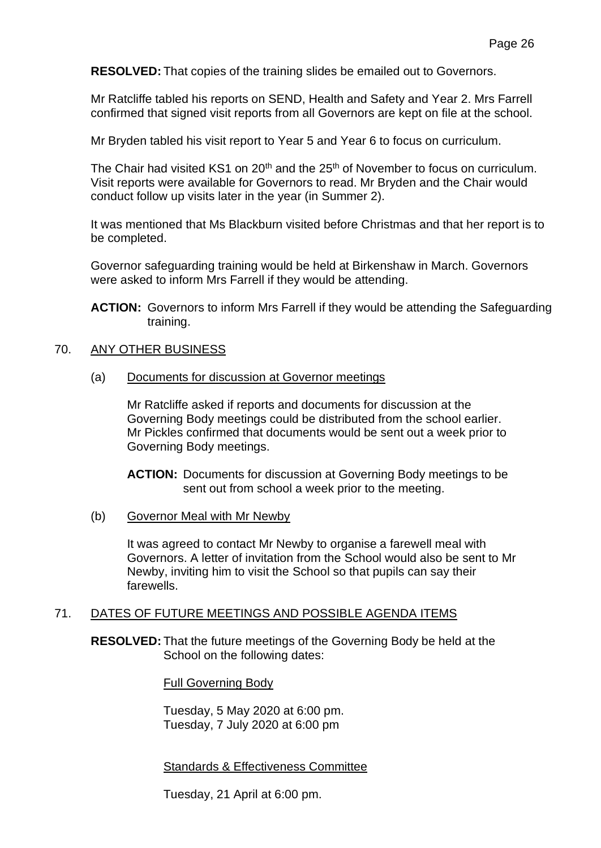**RESOLVED:** That copies of the training slides be emailed out to Governors.

Mr Ratcliffe tabled his reports on SEND, Health and Safety and Year 2. Mrs Farrell confirmed that signed visit reports from all Governors are kept on file at the school.

Mr Bryden tabled his visit report to Year 5 and Year 6 to focus on curriculum.

The Chair had visited KS1 on  $20<sup>th</sup>$  and the  $25<sup>th</sup>$  of November to focus on curriculum. Visit reports were available for Governors to read. Mr Bryden and the Chair would conduct follow up visits later in the year (in Summer 2).

It was mentioned that Ms Blackburn visited before Christmas and that her report is to be completed.

Governor safeguarding training would be held at Birkenshaw in March. Governors were asked to inform Mrs Farrell if they would be attending.

**ACTION:** Governors to inform Mrs Farrell if they would be attending the Safeguarding training.

#### 70. ANY OTHER BUSINESS

(a) Documents for discussion at Governor meetings

Mr Ratcliffe asked if reports and documents for discussion at the Governing Body meetings could be distributed from the school earlier. Mr Pickles confirmed that documents would be sent out a week prior to Governing Body meetings.

**ACTION:** Documents for discussion at Governing Body meetings to be sent out from school a week prior to the meeting.

(b) Governor Meal with Mr Newby

It was agreed to contact Mr Newby to organise a farewell meal with Governors. A letter of invitation from the School would also be sent to Mr Newby, inviting him to visit the School so that pupils can say their farewells.

#### 71. DATES OF FUTURE MEETINGS AND POSSIBLE AGENDA ITEMS

**RESOLVED:** That the future meetings of the Governing Body be held at the School on the following dates:

Full Governing Body

Tuesday, 5 May 2020 at 6:00 pm. Tuesday, 7 July 2020 at 6:00 pm

Standards & Effectiveness Committee

Tuesday, 21 April at 6:00 pm.